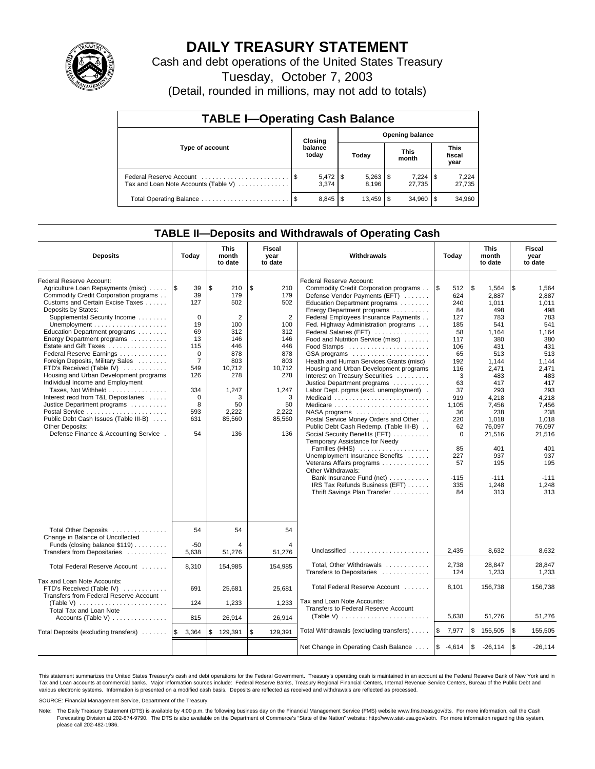

# **DAILY TREASURY STATEMENT**

Cash and debt operations of the United States Treasury

Tuesday, October 7, 2003

(Detail, rounded in millions, may not add to totals)

| <b>TABLE I-Operating Cash Balance</b> |  |                  |                        |              |  |                      |     |                               |  |  |
|---------------------------------------|--|------------------|------------------------|--------------|--|----------------------|-----|-------------------------------|--|--|
|                                       |  | Closing          | <b>Opening balance</b> |              |  |                      |     |                               |  |  |
| Type of account                       |  | balance<br>today |                        | Today        |  | <b>This</b><br>month |     | <b>This</b><br>fiscal<br>year |  |  |
| Tax and Loan Note Accounts (Table V)  |  | 3.374            |                        | 8.196        |  | 7,224<br>27.735      | 1 S | 7,224<br>27,735               |  |  |
|                                       |  | $8,845$ \ \ \$   |                        | $13,459$ \\$ |  | 34,960               |     | 34,960                        |  |  |

# **TABLE II—Deposits and Withdrawals of Operating Cash**

| <b>Deposits</b>                                                                                                                                                                                                                                                                                                                                                                                                                                                                                                                                                                                                                                                                                                               | Today                                                                                                                                                        | <b>This</b><br>month<br>to date                                                                                                       | <b>Fiscal</b><br>year<br>to date                                                                                                                   | Withdrawals                                                                                                                                                                                                                                                                                                                                                                                                                                                                                                                                                                                                                                                                                                                                                                                                                                                                                                                                                          | Today                                                                                                                                                                                               | <b>This</b><br>month<br>to date                                                                                                                                                                                              | Fiscal<br>year<br>to date                                                                                                                                                                                                    |
|-------------------------------------------------------------------------------------------------------------------------------------------------------------------------------------------------------------------------------------------------------------------------------------------------------------------------------------------------------------------------------------------------------------------------------------------------------------------------------------------------------------------------------------------------------------------------------------------------------------------------------------------------------------------------------------------------------------------------------|--------------------------------------------------------------------------------------------------------------------------------------------------------------|---------------------------------------------------------------------------------------------------------------------------------------|----------------------------------------------------------------------------------------------------------------------------------------------------|----------------------------------------------------------------------------------------------------------------------------------------------------------------------------------------------------------------------------------------------------------------------------------------------------------------------------------------------------------------------------------------------------------------------------------------------------------------------------------------------------------------------------------------------------------------------------------------------------------------------------------------------------------------------------------------------------------------------------------------------------------------------------------------------------------------------------------------------------------------------------------------------------------------------------------------------------------------------|-----------------------------------------------------------------------------------------------------------------------------------------------------------------------------------------------------|------------------------------------------------------------------------------------------------------------------------------------------------------------------------------------------------------------------------------|------------------------------------------------------------------------------------------------------------------------------------------------------------------------------------------------------------------------------|
| Federal Reserve Account:<br>Agriculture Loan Repayments (misc)<br>Commodity Credit Corporation programs<br>Customs and Certain Excise Taxes<br>Deposits by States:<br>Supplemental Security Income<br>Unemployment $\dots\dots\dots\dots\dots\dots\dots$<br>Education Department programs<br>Energy Department programs<br>Estate and Gift Taxes<br>Federal Reserve Earnings<br>Foreign Deposits, Military Sales<br>FTD's Received (Table IV)<br>Housing and Urban Development programs<br>Individual Income and Employment<br>Taxes, Not Withheld<br>Interest recd from T&L Depositaries<br>Justice Department programs<br>Public Debt Cash Issues (Table III-B)<br>Other Deposits:<br>Defense Finance & Accounting Service. | 1\$<br>39<br>39<br>127<br>$\mathbf 0$<br>19<br>69<br>13<br>115<br>$\mathbf 0$<br>$\overline{7}$<br>549<br>126<br>334<br>$\mathbf 0$<br>8<br>593<br>631<br>54 | \$<br>210<br>179<br>502<br>2<br>100<br>312<br>146<br>446<br>878<br>803<br>10,712<br>278<br>1,247<br>3<br>50<br>2,222<br>85,560<br>136 | \$<br>210<br>179<br>502<br>$\overline{2}$<br>100<br>312<br>146<br>446<br>878<br>803<br>10,712<br>278<br>1,247<br>3<br>50<br>2,222<br>85,560<br>136 | Federal Reserve Account:<br>Commodity Credit Corporation programs<br>Defense Vendor Payments (EFT)<br>Education Department programs<br>Energy Department programs<br>Federal Employees Insurance Payments<br>Fed. Highway Administration programs<br>Federal Salaries (EFT)<br>Food and Nutrition Service (misc)<br>GSA programs<br>Health and Human Services Grants (misc)<br>Housing and Urban Development programs<br>Interest on Treasury Securities<br>Justice Department programs<br>Labor Dept. prgms (excl. unemployment).<br>Medicaid<br>$NASA$ programs $\ldots \ldots \ldots \ldots \ldots$<br>Postal Service Money Orders and Other<br>Public Debt Cash Redemp. (Table III-B)<br>Social Security Benefits (EFT)<br>Temporary Assistance for Needy<br>Families (HHS)<br>Unemployment Insurance Benefits<br>Veterans Affairs programs<br>Other Withdrawals:<br>Bank Insurance Fund (net)<br>IRS Tax Refunds Business (EFT)<br>Thrift Savings Plan Transfer | <b>S</b><br>512<br>624<br>240<br>84<br>127<br>185<br>58<br>117<br>106<br>65<br>192<br>116<br>3<br>63<br>37<br>919<br>1,105<br>36<br>220<br>62<br>$\Omega$<br>85<br>227<br>57<br>$-115$<br>335<br>84 | \$<br>1,564<br>2.887<br>1.011<br>498<br>783<br>541<br>1,164<br>380<br>431<br>513<br>1,144<br>2,471<br>483<br>417<br>293<br>4,218<br>7,456<br>238<br>1,018<br>76.097<br>21,516<br>401<br>937<br>195<br>$-111$<br>1,248<br>313 | \$<br>1,564<br>2.887<br>1,011<br>498<br>783<br>541<br>1,164<br>380<br>431<br>513<br>1,144<br>2,471<br>483<br>417<br>293<br>4,218<br>7,456<br>238<br>1,018<br>76.097<br>21,516<br>401<br>937<br>195<br>$-111$<br>1,248<br>313 |
| Total Other Deposits<br>Change in Balance of Uncollected<br>Funds (closing balance \$119)<br>Transfers from Depositaries                                                                                                                                                                                                                                                                                                                                                                                                                                                                                                                                                                                                      | 54<br>$-50$<br>5,638                                                                                                                                         | 54<br>4<br>51,276                                                                                                                     | 54<br>4<br>51,276                                                                                                                                  | Unclassified                                                                                                                                                                                                                                                                                                                                                                                                                                                                                                                                                                                                                                                                                                                                                                                                                                                                                                                                                         | 2,435                                                                                                                                                                                               | 8,632                                                                                                                                                                                                                        | 8,632                                                                                                                                                                                                                        |
| Total Federal Reserve Account                                                                                                                                                                                                                                                                                                                                                                                                                                                                                                                                                                                                                                                                                                 | 8,310                                                                                                                                                        | 154,985                                                                                                                               | 154,985                                                                                                                                            | Total, Other Withdrawals<br>Transfers to Depositaries                                                                                                                                                                                                                                                                                                                                                                                                                                                                                                                                                                                                                                                                                                                                                                                                                                                                                                                | 2,738<br>124                                                                                                                                                                                        | 28,847<br>1,233                                                                                                                                                                                                              | 28,847<br>1,233                                                                                                                                                                                                              |
| Tax and Loan Note Accounts:<br>FTD's Received (Table IV)<br>Transfers from Federal Reserve Account                                                                                                                                                                                                                                                                                                                                                                                                                                                                                                                                                                                                                            | 691<br>124                                                                                                                                                   | 25,681<br>1,233                                                                                                                       | 25,681<br>1,233                                                                                                                                    | Total Federal Reserve Account<br>Tax and Loan Note Accounts:                                                                                                                                                                                                                                                                                                                                                                                                                                                                                                                                                                                                                                                                                                                                                                                                                                                                                                         | 8,101                                                                                                                                                                                               | 156,738                                                                                                                                                                                                                      | 156,738                                                                                                                                                                                                                      |
| Total Tax and Loan Note<br>Accounts (Table V)                                                                                                                                                                                                                                                                                                                                                                                                                                                                                                                                                                                                                                                                                 | 815                                                                                                                                                          | 26,914                                                                                                                                | 26,914                                                                                                                                             | Transfers to Federal Reserve Account<br>(Table V) $\ldots \ldots \ldots \ldots \ldots \ldots \ldots$                                                                                                                                                                                                                                                                                                                                                                                                                                                                                                                                                                                                                                                                                                                                                                                                                                                                 | 5,638                                                                                                                                                                                               | 51,276                                                                                                                                                                                                                       | 51,276                                                                                                                                                                                                                       |
| Total Deposits (excluding transfers)                                                                                                                                                                                                                                                                                                                                                                                                                                                                                                                                                                                                                                                                                          | 3,364<br>1\$                                                                                                                                                 | \$<br>129,391                                                                                                                         | \$<br>129,391                                                                                                                                      | Total Withdrawals (excluding transfers)                                                                                                                                                                                                                                                                                                                                                                                                                                                                                                                                                                                                                                                                                                                                                                                                                                                                                                                              | ۱\$<br>7,977                                                                                                                                                                                        | \$<br>155,505                                                                                                                                                                                                                | <b>S</b><br>155,505                                                                                                                                                                                                          |
|                                                                                                                                                                                                                                                                                                                                                                                                                                                                                                                                                                                                                                                                                                                               |                                                                                                                                                              |                                                                                                                                       |                                                                                                                                                    | Net Change in Operating Cash Balance                                                                                                                                                                                                                                                                                                                                                                                                                                                                                                                                                                                                                                                                                                                                                                                                                                                                                                                                 | $$ -4,614$                                                                                                                                                                                          | \$<br>$-26,114$                                                                                                                                                                                                              | l \$<br>$-26,114$                                                                                                                                                                                                            |

This statement summarizes the United States Treasury's cash and debt operations for the Federal Government. Treasury's operating cash is maintained in an account at the Federal Reserve Bank of New York and in Tax and Loan accounts at commercial banks. Major information sources include: Federal Reserve Banks, Treasury Regional Financial Centers, Internal Revenue Service Centers, Bureau of the Public Debt and<br>various electronic s

SOURCE: Financial Management Service, Department of the Treasury.

Note: The Daily Treasury Statement (DTS) is available by 4:00 p.m. the following business day on the Financial Management Service (FMS) website www.fms.treas.gov/dts. For more information, call the Cash Forecasting Division at 202-874-9790. The DTS is also available on the Department of Commerce's "State of the Nation" website: http://www.stat-usa.gov/sotn. For more information regarding this system, please call 202-482-1986.